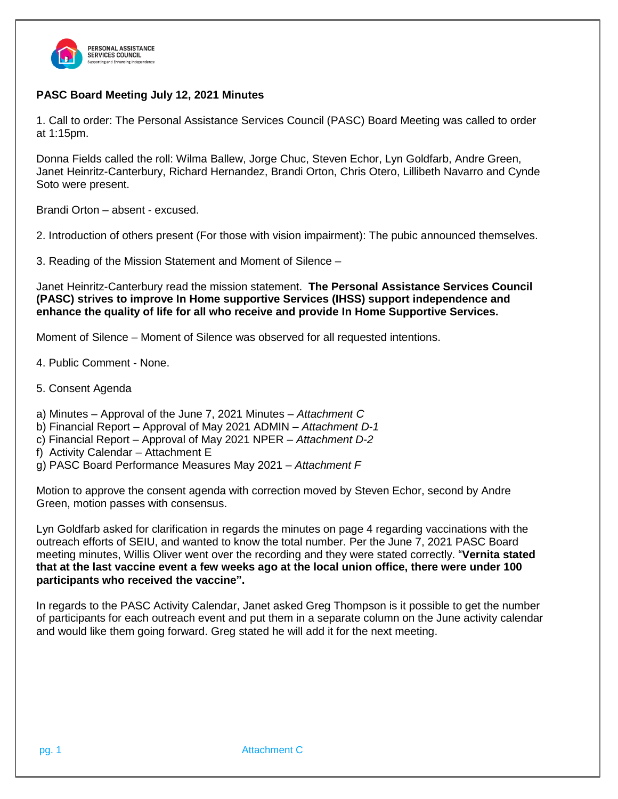

## **PASC Board Meeting July 12, 2021 Minutes**

1. Call to order: The Personal Assistance Services Council (PASC) Board Meeting was called to order at 1:15pm.

Donna Fields called the roll: Wilma Ballew, Jorge Chuc, Steven Echor, Lyn Goldfarb, Andre Green, Janet Heinritz-Canterbury, Richard Hernandez, Brandi Orton, Chris Otero, Lillibeth Navarro and Cynde Soto were present.

Brandi Orton – absent - excused.

2. Introduction of others present (For those with vision impairment): The pubic announced themselves.

3. Reading of the Mission Statement and Moment of Silence –

Janet Heinritz-Canterbury read the mission statement. **The Personal Assistance Services Council (PASC) strives to improve In Home supportive Services (IHSS) support independence and enhance the quality of life for all who receive and provide In Home Supportive Services.**

Moment of Silence – Moment of Silence was observed for all requested intentions.

- 4. Public Comment None.
- 5. Consent Agenda
- a) Minutes Approval of the June 7, 2021 Minutes *Attachment C*
- b) Financial Report Approval of May 2021 ADMIN *Attachment D-1*
- c) Financial Report Approval of May 2021 NPER *Attachment D-2*
- f) Activity Calendar Attachment E
- g) PASC Board Performance Measures May 2021 *– Attachment F*

Motion to approve the consent agenda with correction moved by Steven Echor, second by Andre Green, motion passes with consensus.

Lyn Goldfarb asked for clarification in regards the minutes on page 4 regarding vaccinations with the outreach efforts of SEIU, and wanted to know the total number. Per the June 7, 2021 PASC Board meeting minutes, Willis Oliver went over the recording and they were stated correctly. "**Vernita stated** that at the last vaccine event a few weeks ago at the local union office, there were under 100 **participants who received the vaccine".**

In regards to the PASC Activity Calendar, Janet asked Greg Thompson is it possible to get the number of participants for each outreach event and put them in a separate column on the June activity calendar and would like them going forward. Greg stated he will add it for the next meeting.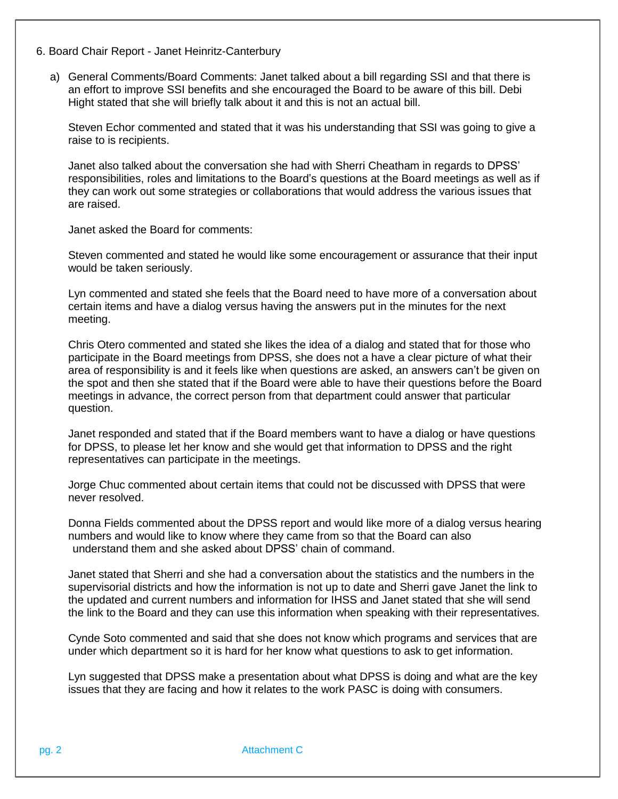- 6. Board Chair Report Janet Heinritz-Canterbury
	- a) General Comments/Board Comments: Janet talked about a bill regarding SSI and that there is an effort to improve SSI benefits and she encouraged the Board to be aware of this bill. Debi Hight stated that she will briefly talk about it and this is not an actual bill.

Steven Echor commented and stated that it was his understanding that SSI was going to give a raise to is recipients.

Janet also talked about the conversation she had with Sherri Cheatham in regards to DPSS' responsibilities, roles and limitations to the Board's questions at the Board meetings as well as if they can work out some strategies or collaborations that would address the various issues that are raised.

Janet asked the Board for comments:

Steven commented and stated he would like some encouragement or assurance that their input would be taken seriously.

Lyn commented and stated she feels that the Board need to have more of a conversation about certain items and have a dialog versus having the answers put in the minutes for the next meeting.

Chris Otero commented and stated she likes the idea of a dialog and stated that for those who participate in the Board meetings from DPSS, she does not a have a clear picture of what their area of responsibility is and it feels like when questions are asked, an answers can't be given on the spot and then she stated that if the Board were able to have their questions before the Board meetings in advance, the correct person from that department could answer that particular question.

Janet responded and stated that if the Board members want to have a dialog or have questions for DPSS, to please let her know and she would get that information to DPSS and the right representatives can participate in the meetings.

Jorge Chuc commented about certain items that could not be discussed with DPSS that were never resolved.

Donna Fields commented about the DPSS report and would like more of a dialog versus hearing numbers and would like to know where they came from so that the Board can also understand them and she asked about DPSS' chain of command.

Janet stated that Sherri and she had a conversation about the statistics and the numbers in the supervisorial districts and how the information is not up to date and Sherri gave Janet the link to the updated and current numbers and information for IHSS and Janet stated that she will send the link to the Board and they can use this information when speaking with their representatives.

Cynde Soto commented and said that she does not know which programs and services that are under which department so it is hard for her know what questions to ask to get information.

Lyn suggested that DPSS make a presentation about what DPSS is doing and what are the key issues that they are facing and how it relates to the work PASC is doing with consumers.

pg. 2 Attachment C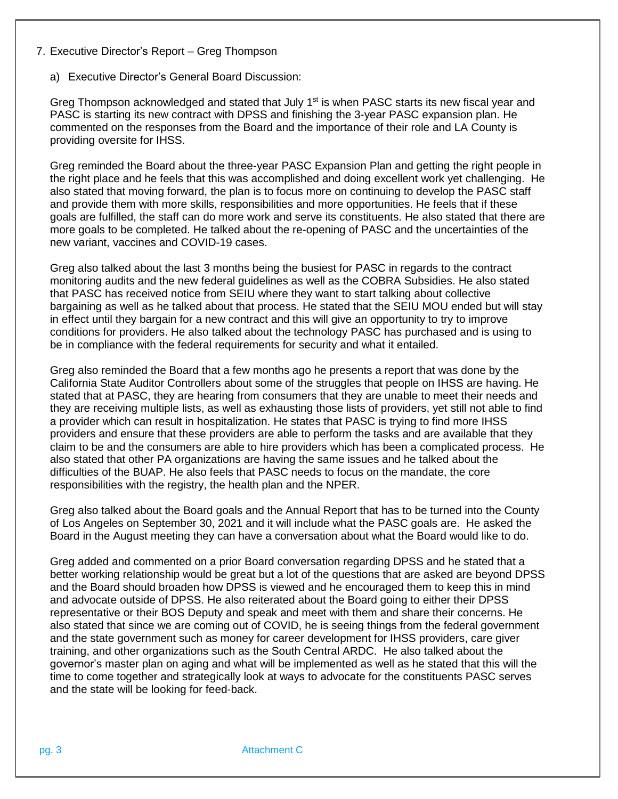- 7. Executive Director's Report Greg Thompson
	- a) Executive Director's General Board Discussion:

Greg Thompson acknowledged and stated that July 1<sup>st</sup> is when PASC starts its new fiscal year and PASC is starting its new contract with DPSS and finishing the 3-year PASC expansion plan. He commented on the responses from the Board and the importance of their role and LA County is providing oversite for IHSS.

Greg reminded the Board about the three-year PASC Expansion Plan and getting the right people in the right place and he feels that this was accomplished and doing excellent work yet challenging. He also stated that moving forward, the plan is to focus more on continuing to develop the PASC staff and provide them with more skills, responsibilities and more opportunities. He feels that if these goals are fulfilled, the staff can do more work and serve its constituents. He also stated that there are more goals to be completed. He talked about the re-opening of PASC and the uncertainties of the new variant, vaccines and COVID-19 cases.

Greg also talked about the last 3 months being the busiest for PASC in regards to the contract monitoring audits and the new federal guidelines as well as the COBRA Subsidies. He also stated that PASC has received notice from SEIU where they want to start talking about collective bargaining as well as he talked about that process. He stated that the SEIU MOU ended but will stay in effect until they bargain for a new contract and this will give an opportunity to try to improve conditions for providers. He also talked about the technology PASC has purchased and is using to be in compliance with the federal requirements for security and what it entailed.

Greg also reminded the Board that a few months ago he presents a report that was done by the California State Auditor Controllers about some of the struggles that people on IHSS are having. He stated that at PASC, they are hearing from consumers that they are unable to meet their needs and they are receiving multiple lists, as well as exhausting those lists of providers, yet still not able to find a provider which can result in hospitalization. He states that PASC is trying to find more IHSS providers and ensure that these providers are able to perform the tasks and are available that they claim to be and the consumers are able to hire providers which has been a complicated process. He also stated that other PA organizations are having the same issues and he talked about the difficulties of the BUAP. He also feels that PASC needs to focus on the mandate, the core responsibilities with the registry, the health plan and the NPER.

Greg also talked about the Board goals and the Annual Report that has to be turned into the County of Los Angeles on September 30, 2021 and it will include what the PASC goals are. He asked the Board in the August meeting they can have a conversation about what the Board would like to do.

Greg added and commented on a prior Board conversation regarding DPSS and he stated that a better working relationship would be great but a lot of the questions that are asked are beyond DPSS and the Board should broaden how DPSS is viewed and he encouraged them to keep this in mind and advocate outside of DPSS. He also reiterated about the Board going to either their DPSS representative or their BOS Deputy and speak and meet with them and share their concerns. He also stated that since we are coming out of COVID, he is seeing things from the federal government and the state government such as money for career development for IHSS providers, care giver training, and other organizations such as the South Central ARDC. He also talked about the governor's master plan on aging and what will be implemented as well as he stated that this will the time to come together and strategically look at ways to advocate for the constituents PASC serves and the state will be looking for feed-back.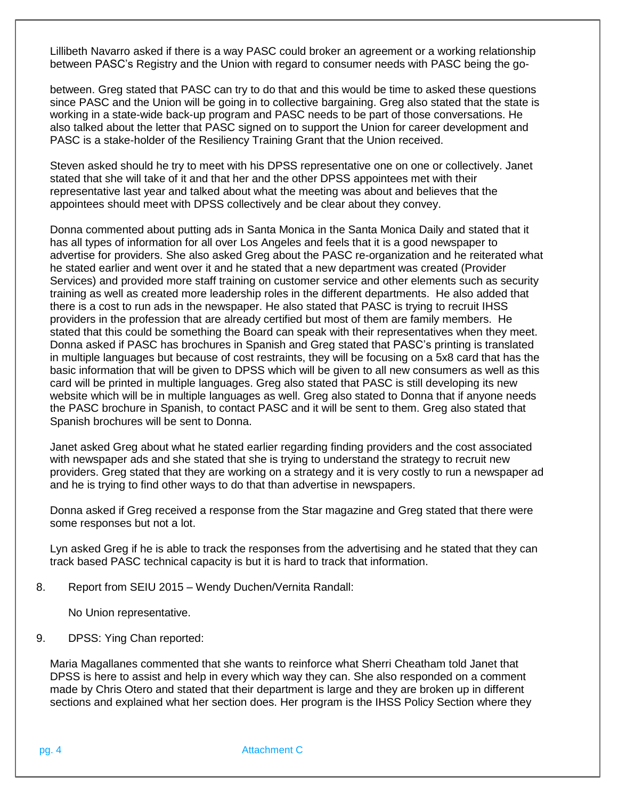Lillibeth Navarro asked if there is a way PASC could broker an agreement or a working relationship between PASC's Registry and the Union with regard to consumer needs with PASC being the go-

between. Greg stated that PASC can try to do that and this would be time to asked these questions since PASC and the Union will be going in to collective bargaining. Greg also stated that the state is working in a state-wide back-up program and PASC needs to be part of those conversations. He also talked about the letter that PASC signed on to support the Union for career development and PASC is a stake-holder of the Resiliency Training Grant that the Union received.

Steven asked should he try to meet with his DPSS representative one on one or collectively. Janet stated that she will take of it and that her and the other DPSS appointees met with their representative last year and talked about what the meeting was about and believes that the appointees should meet with DPSS collectively and be clear about they convey.

Donna commented about putting ads in Santa Monica in the Santa Monica Daily and stated that it has all types of information for all over Los Angeles and feels that it is a good newspaper to advertise for providers. She also asked Greg about the PASC re-organization and he reiterated what he stated earlier and went over it and he stated that a new department was created (Provider Services) and provided more staff training on customer service and other elements such as security training as well as created more leadership roles in the different departments. He also added that there is a cost to run ads in the newspaper. He also stated that PASC is trying to recruit IHSS providers in the profession that are already certified but most of them are family members. He stated that this could be something the Board can speak with their representatives when they meet. Donna asked if PASC has brochures in Spanish and Greg stated that PASC's printing is translated in multiple languages but because of cost restraints, they will be focusing on a 5x8 card that has the basic information that will be given to DPSS which will be given to all new consumers as well as this card will be printed in multiple languages. Greg also stated that PASC is still developing its new website which will be in multiple languages as well. Greg also stated to Donna that if anyone needs the PASC brochure in Spanish, to contact PASC and it will be sent to them. Greg also stated that Spanish brochures will be sent to Donna.

Janet asked Greg about what he stated earlier regarding finding providers and the cost associated with newspaper ads and she stated that she is trying to understand the strategy to recruit new providers. Greg stated that they are working on a strategy and it is very costly to run a newspaper ad and he is trying to find other ways to do that than advertise in newspapers.

Donna asked if Greg received a response from the Star magazine and Greg stated that there were some responses but not a lot.

Lyn asked Greg if he is able to track the responses from the advertising and he stated that they can track based PASC technical capacity is but it is hard to track that information.

8. Report from SEIU 2015 – Wendy Duchen/Vernita Randall:

No Union representative.

9. DPSS: Ying Chan reported:

Maria Magallanes commented that she wants to reinforce what Sherri Cheatham told Janet that DPSS is here to assist and help in every which way they can. She also responded on a comment made by Chris Otero and stated that their department is large and they are broken up in different sections and explained what her section does. Her program is the IHSS Policy Section where they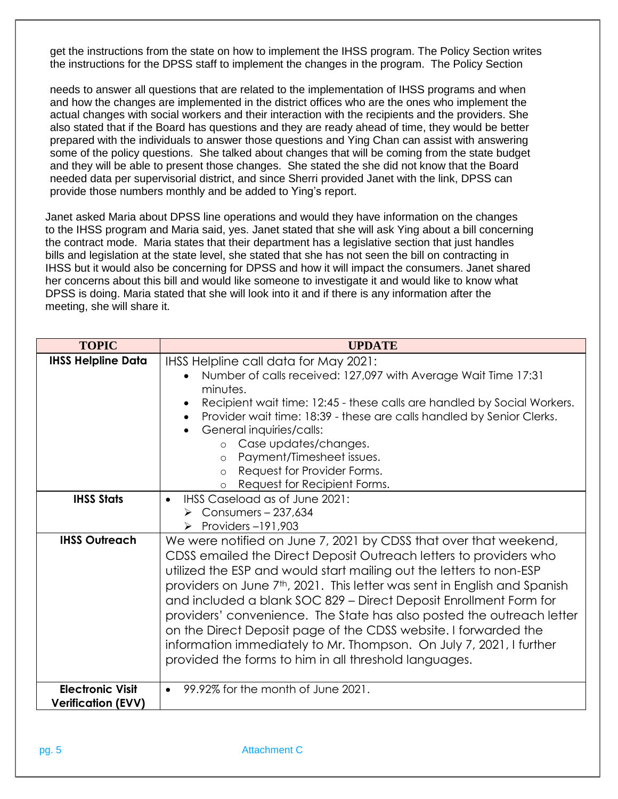get the instructions from the state on how to implement the IHSS program. The Policy Section writes the instructions for the DPSS staff to implement the changes in the program. The Policy Section

needs to answer all questions that are related to the implementation of IHSS programs and when and how the changes are implemented in the district offices who are the ones who implement the actual changes with social workers and their interaction with the recipients and the providers. She also stated that if the Board has questions and they are ready ahead of time, they would be better prepared with the individuals to answer those questions and Ying Chan can assist with answering some of the policy questions. She talked about changes that will be coming from the state budget and they will be able to present those changes. She stated the she did not know that the Board needed data per supervisorial district, and since Sherri provided Janet with the link, DPSS can provide those numbers monthly and be added to Ying's report.

Janet asked Maria about DPSS line operations and would they have information on the changes to the IHSS program and Maria said, yes. Janet stated that she will ask Ying about a bill concerning the contract mode. Maria states that their department has a legislative section that just handles bills and legislation at the state level, she stated that she has not seen the bill on contracting in IHSS but it would also be concerning for DPSS and how it will impact the consumers. Janet shared her concerns about this bill and would like someone to investigate it and would like to know what DPSS is doing. Maria stated that she will look into it and if there is any information after the meeting, she will share it.

| <b>TOPIC</b>                                         | <b>UPDATE</b>                                                                                                                                                                                                                                                                                                                                                                                                                                                                                                                                                                                                                                          |
|------------------------------------------------------|--------------------------------------------------------------------------------------------------------------------------------------------------------------------------------------------------------------------------------------------------------------------------------------------------------------------------------------------------------------------------------------------------------------------------------------------------------------------------------------------------------------------------------------------------------------------------------------------------------------------------------------------------------|
| <b>IHSS Helpline Data</b>                            | IHSS Helpline call data for May 2021:<br>Number of calls received: 127,097 with Average Wait Time 17:31<br>minutes.<br>Recipient wait time: 12:45 - these calls are handled by Social Workers.<br>Provider wait time: 18:39 - these are calls handled by Senior Clerks.<br>General inquiries/calls:<br>o Case updates/changes.<br>Payment/Timesheet issues.<br>$\circ$<br>Request for Provider Forms.<br>$\circ$<br>Request for Recipient Forms.                                                                                                                                                                                                       |
| <b>IHSS Stats</b>                                    | IHSS Caseload as of June 2021:<br>$\bullet$<br>$\triangleright$ Consumers - 237,634<br>$\triangleright$ Providers -191,903                                                                                                                                                                                                                                                                                                                                                                                                                                                                                                                             |
| <b>IHSS Outreach</b>                                 | We were notified on June 7, 2021 by CDSS that over that weekend,<br>CDSS emailed the Direct Deposit Outreach letters to providers who<br>utilized the ESP and would start mailing out the letters to non-ESP<br>providers on June 7 <sup>th</sup> , 2021. This letter was sent in English and Spanish<br>and included a blank SOC 829 - Direct Deposit Enrollment Form for<br>providers' convenience. The State has also posted the outreach letter<br>on the Direct Deposit page of the CDSS website. I forwarded the<br>information immediately to Mr. Thompson. On July 7, 2021, I further<br>provided the forms to him in all threshold languages. |
| <b>Electronic Visit</b><br><b>Verification (EVV)</b> | • 99.92% for the month of June 2021.                                                                                                                                                                                                                                                                                                                                                                                                                                                                                                                                                                                                                   |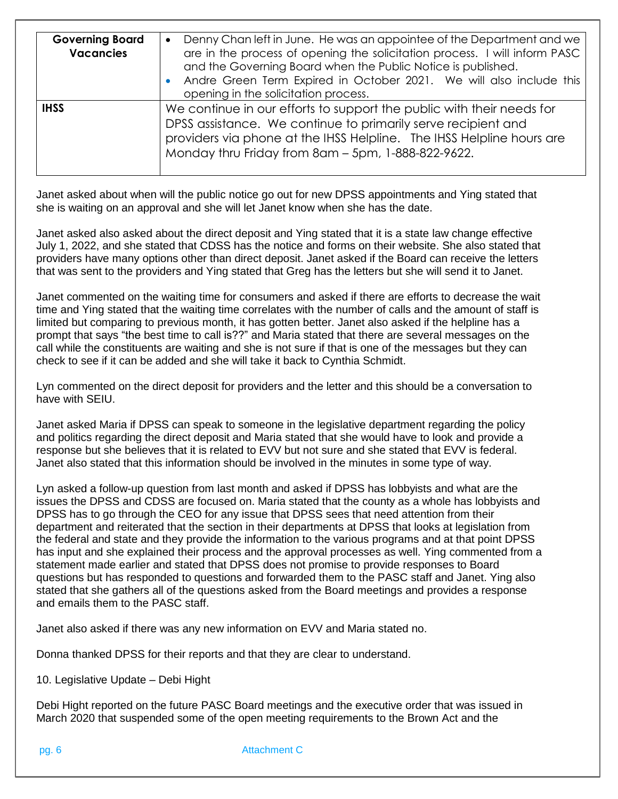| <b>Governing Board</b><br><b>Vacancies</b> | Denny Chan left in June. He was an appointee of the Department and we<br>$\bullet$<br>are in the process of opening the solicitation process. I will inform PASC<br>and the Governing Board when the Public Notice is published.<br>Andre Green Term Expired in October 2021. We will also include this<br>opening in the solicitation process. |
|--------------------------------------------|-------------------------------------------------------------------------------------------------------------------------------------------------------------------------------------------------------------------------------------------------------------------------------------------------------------------------------------------------|
| <b>IHSS</b>                                | We continue in our efforts to support the public with their needs for<br>DPSS assistance. We continue to primarily serve recipient and<br>providers via phone at the IHSS Helpline. The IHSS Helpline hours are<br>Monday thru Friday from 8am - 5pm, 1-888-822-9622.                                                                           |

Janet asked about when will the public notice go out for new DPSS appointments and Ying stated that she is waiting on an approval and she will let Janet know when she has the date.

Janet asked also asked about the direct deposit and Ying stated that it is a state law change effective July 1, 2022, and she stated that CDSS has the notice and forms on their website. She also stated that providers have many options other than direct deposit. Janet asked if the Board can receive the letters that was sent to the providers and Ying stated that Greg has the letters but she will send it to Janet.

Janet commented on the waiting time for consumers and asked if there are efforts to decrease the wait time and Ying stated that the waiting time correlates with the number of calls and the amount of staff is limited but comparing to previous month, it has gotten better. Janet also asked if the helpline has a prompt that says "the best time to call is??" and Maria stated that there are several messages on the call while the constituents are waiting and she is not sure if that is one of the messages but they can check to see if it can be added and she will take it back to Cynthia Schmidt.

Lyn commented on the direct deposit for providers and the letter and this should be a conversation to have with SEIU.

Janet asked Maria if DPSS can speak to someone in the legislative department regarding the policy and politics regarding the direct deposit and Maria stated that she would have to look and provide a response but she believes that it is related to EVV but not sure and she stated that EVV is federal. Janet also stated that this information should be involved in the minutes in some type of way.

Lyn asked a follow-up question from last month and asked if DPSS has lobbyists and what are the issues the DPSS and CDSS are focused on. Maria stated that the county as a whole has lobbyists and DPSS has to go through the CEO for any issue that DPSS sees that need attention from their department and reiterated that the section in their departments at DPSS that looks at legislation from the federal and state and they provide the information to the various programs and at that point DPSS has input and she explained their process and the approval processes as well. Ying commented from a statement made earlier and stated that DPSS does not promise to provide responses to Board questions but has responded to questions and forwarded them to the PASC staff and Janet. Ying also stated that she gathers all of the questions asked from the Board meetings and provides a response and emails them to the PASC staff.

Janet also asked if there was any new information on EVV and Maria stated no.

Donna thanked DPSS for their reports and that they are clear to understand.

10. Legislative Update – Debi Hight

Debi Hight reported on the future PASC Board meetings and the executive order that was issued in March 2020 that suspended some of the open meeting requirements to the Brown Act and the

pg. 6 **Attachment C**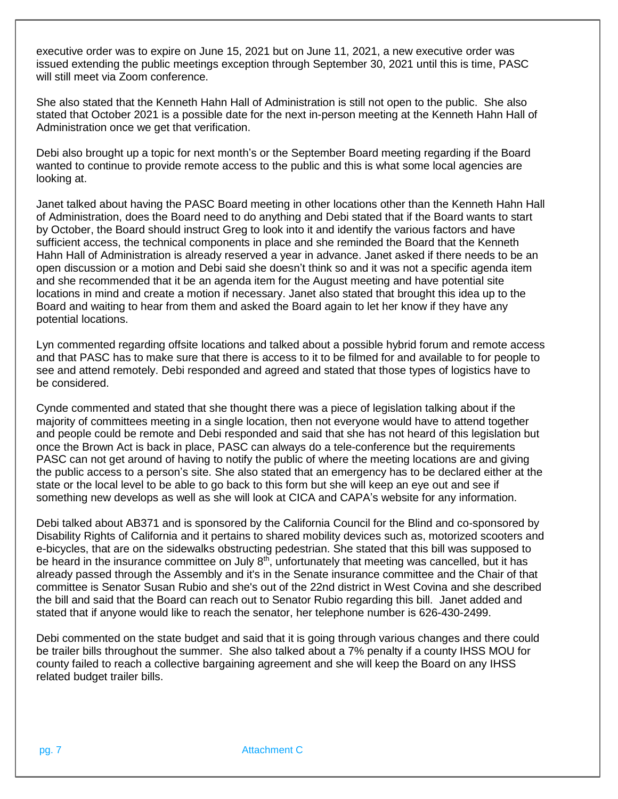executive order was to expire on June 15, 2021 but on June 11, 2021, a new executive order was issued extending the public meetings exception through September 30, 2021 until this is time, PASC will still meet via Zoom conference.

She also stated that the Kenneth Hahn Hall of Administration is still not open to the public. She also stated that October 2021 is a possible date for the next in-person meeting at the Kenneth Hahn Hall of Administration once we get that verification.

Debi also brought up a topic for next month's or the September Board meeting regarding if the Board wanted to continue to provide remote access to the public and this is what some local agencies are looking at.

Janet talked about having the PASC Board meeting in other locations other than the Kenneth Hahn Hall of Administration, does the Board need to do anything and Debi stated that if the Board wants to start by October, the Board should instruct Greg to look into it and identify the various factors and have sufficient access, the technical components in place and she reminded the Board that the Kenneth Hahn Hall of Administration is already reserved a year in advance. Janet asked if there needs to be an open discussion or a motion and Debi said she doesn't think so and it was not a specific agenda item and she recommended that it be an agenda item for the August meeting and have potential site locations in mind and create a motion if necessary. Janet also stated that brought this idea up to the Board and waiting to hear from them and asked the Board again to let her know if they have any potential locations.

Lyn commented regarding offsite locations and talked about a possible hybrid forum and remote access and that PASC has to make sure that there is access to it to be filmed for and available to for people to see and attend remotely. Debi responded and agreed and stated that those types of logistics have to be considered.

Cynde commented and stated that she thought there was a piece of legislation talking about if the majority of committees meeting in a single location, then not everyone would have to attend together and people could be remote and Debi responded and said that she has not heard of this legislation but once the Brown Act is back in place, PASC can always do a tele-conference but the requirements PASC can not get around of having to notify the public of where the meeting locations are and giving the public access to a person's site. She also stated that an emergency has to be declared either at the state or the local level to be able to go back to this form but she will keep an eye out and see if something new develops as well as she will look at CICA and CAPA's website for any information.

Debi talked about AB371 and is sponsored by the California Council for the Blind and co-sponsored by Disability Rights of California and it pertains to shared mobility devices such as, motorized scooters and e-bicycles, that are on the sidewalks obstructing pedestrian. She stated that this bill was supposed to be heard in the insurance committee on July 8<sup>th</sup>, unfortunately that meeting was cancelled, but it has already passed through the Assembly and it's in the Senate insurance committee and the Chair of that committee is Senator Susan Rubio and she's out of the 22nd district in West Covina and she described the bill and said that the Board can reach out to Senator Rubio regarding this bill. Janet added and stated that if anyone would like to reach the senator, her telephone number is 626-430-2499.

Debi commented on the state budget and said that it is going through various changes and there could be trailer bills throughout the summer. She also talked about a 7% penalty if a county IHSS MOU for county failed to reach a collective bargaining agreement and she will keep the Board on any IHSS related budget trailer bills.